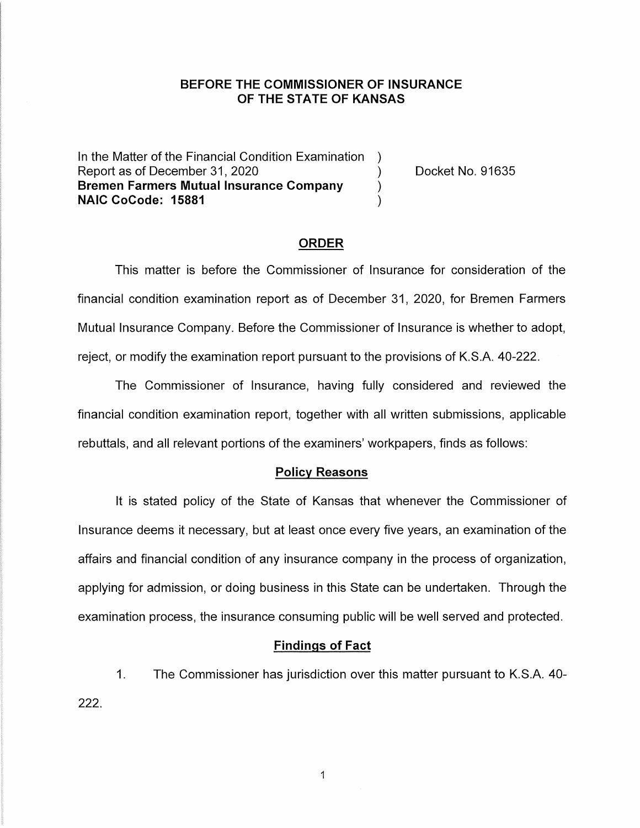## **BEFORE THE COMMISSIONER OF INSURANCE OF THE STATE OF KANSAS**

In the Matter of the Financial Condition Examination ) Report as of December 31, 2020 (a) (b) Docket No. 91635 **Bremen Farmers Mutual Insurance Company** ) **NAIC CoCode: 15881** )

#### **ORDER**

This matter is before the Commissioner of Insurance for consideration of the financial condition examination report as of December 31, 2020, for Bremen Farmers Mutual Insurance Company. Before the Commissioner of Insurance is whether to adopt, reject, or modify the examination report pursuant to the provisions of K.S.A. 40-222.

The Commissioner of Insurance, having fully considered and reviewed the financial condition examination report, together with all written submissions, applicable rebuttals, and all relevant portions of the examiners' workpapers, finds as follows:

### **Policy Reasons**

It is stated policy of the State of Kansas that whenever the Commissioner of Insurance deems it necessary, but at least once every five years, an examination of the affairs and financial condition of any insurance company in the process of organization, applying for admission, or doing business in this State can be undertaken. Through the examination process, the insurance consuming public will be well served and protected.

### **Findings of Fact**

1. The Commissioner has jurisdiction over this matter pursuant to K.S.A. 40- 222.

 $\mathbf{1}$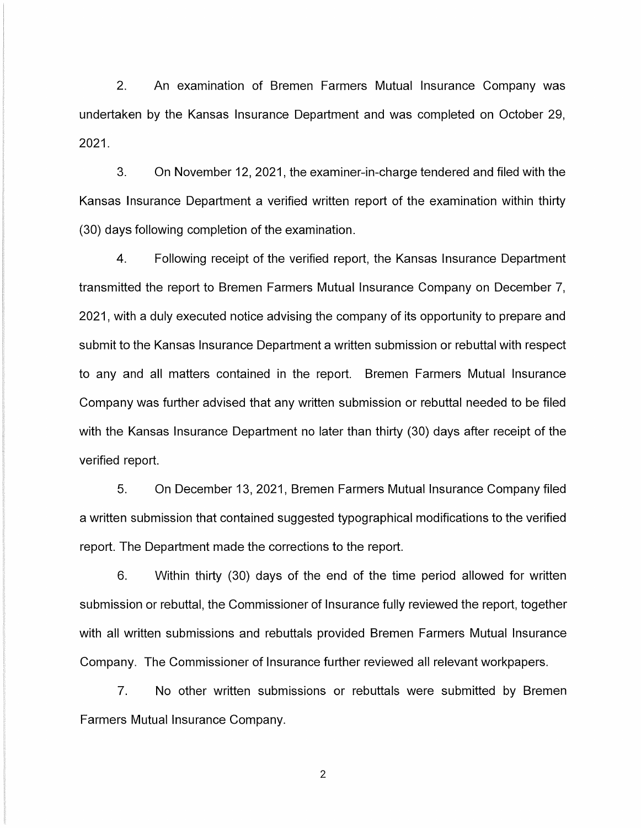2. An examination of Bremen Farmers Mutual Insurance Company was undertaken by the Kansas Insurance Department and was completed on October 29, 2021.

3. On November 12, 2021, the examiner-in-charge tendered and filed with the Kansas Insurance Department a verified written report of the examination within thirty (30) days following completion of the examination.

4. Following receipt of the verified report, the Kansas Insurance Department transmitted the report to Bremen Farmers Mutual Insurance Company on December 7, 2021, with a duly executed notice advising the company of its opportunity to prepare and submit to the Kansas Insurance Department a written submission or rebuttal with respect to any and all matters contained in the report. Bremen Farmers Mutual Insurance Company was further advised that any written submission or rebuttal needed to be filed with the Kansas Insurance Department no later than thirty (30) days after receipt of the verified report.

5. On December 13, 2021, Bremen Farmers Mutual Insurance Company filed a written submission that contained suggested typographical modifications to the verified report. The Department made the corrections to the report.

6. Within thirty (30) days of the end of the time period allowed for written submission or rebuttal, the Commissioner of Insurance fully reviewed the report, together with all written submissions and rebuttals provided Bremen Farmers Mutual Insurance Company. The Commissioner of Insurance further reviewed all relevant workpapers.

7. No other written submissions or rebuttals were submitted by Bremen Farmers Mutual Insurance Company.

2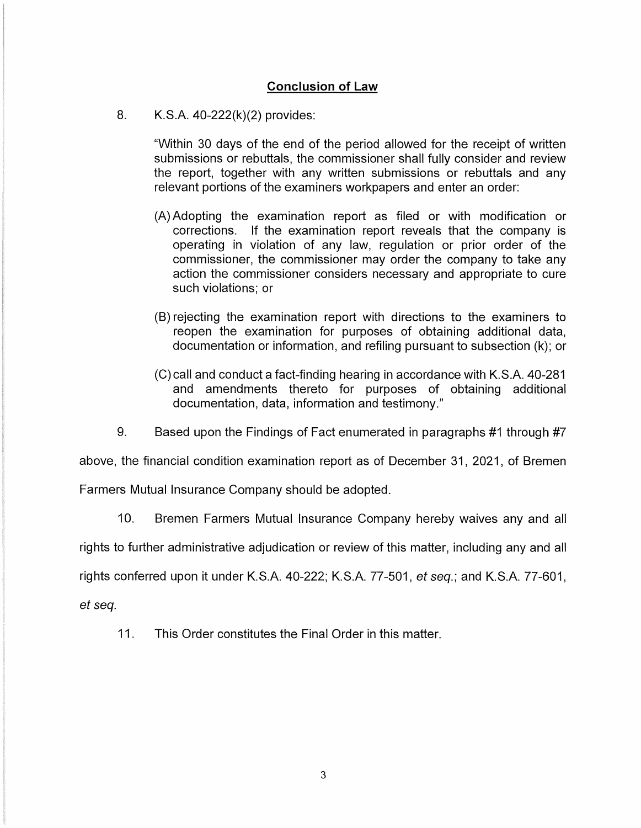# **Conclusion of Law**

8. K.S.A. 40-222(k)(2) provides:

"Within 30 days of the end of the period allowed for the receipt of written submissions or rebuttals, the commissioner shall fully consider and review the report, together with any written submissions or rebuttals and any relevant portions of the examiners workpapers and enter an order:

- (A) Adopting the examination report as filed or with modification or corrections. If the examination report reveals that the company is operating in violation of any law, regulation or prior order of the commissioner, the commissioner may order the company to take any action the commissioner considers necessary and appropriate to cure such violations; or
- (B) rejecting the examination report with directions to the examiners to reopen the examination for purposes of obtaining additional data, documentation or information, and refiling pursuant to subsection (k); or
- (C) call and conduct a fact-finding hearing in accordance with K.S.A. 40-281 and amendments thereto for purposes of obtaining additional documentation, data, information and testimony."
- 9. Based upon the Findings of Fact enumerated in paragraphs #1 through #7

above, the financial condition examination report as of December 31, 2021, of Bremen

Farmers Mutual Insurance Company should be adopted.

10. Bremen Farmers Mutual Insurance Company hereby waives any and all

rights to further administrative adjudication or review of this matter, including any and all

rights conferred upon it under K.S.A. 40-222; K.S.A. 77-501, et seq.; and K.S.A. 77-601,

et seq.

11. This Order constitutes the Final Order in this matter.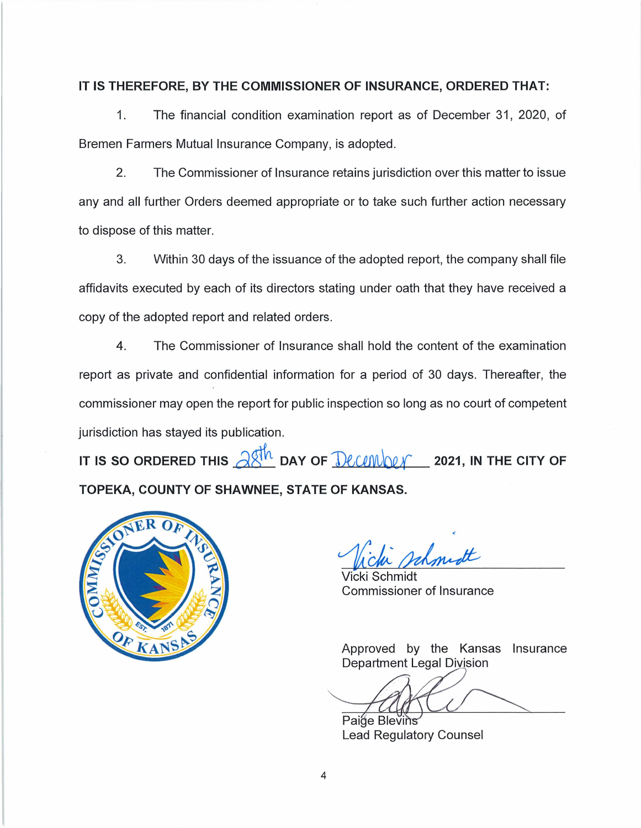## **IT IS THEREFORE, BY THE COMMISSIONER OF INSURANCE, ORDERED THAT:**

1. The financial condition examination report as of December 31, 2020, of Bremen Farmers Mutual Insurance Company, is adopted.

2. The Commissioner of Insurance retains jurisdiction over this matter to issue any and all further Orders deemed appropriate or to take such further action necessary to dispose of this matter.

3. Within 30 days of the issuance of the adopted report, the company shall file affidavits executed by each of its directors stating under oath that they have received a copy of the adopted report and related orders.

4. The Commissioner of Insurance shall hold the content of the examination report as private and confidential information for a period of 30 days. Thereafter, the commissioner may open the report for public inspection so long as no court of competent jurisdiction has stayed its publication.

IT IS SO ORDERED THIS  $\partial \mathcal{S}^h$  DAY OF  $\partial \mathcal{L}$   $\partial \mathcal{L}$   $\partial \mathcal{L}$  2021, IN THE CITY OF **TOPEKA, COUNTY OF SHAWNEE, STATE OF KANSAS.** 



Schmidt Commissioner of Insurance

Approved by the Kansas Insurance Department Legal Division

Paige Blevins Lead Regulatory Counsel